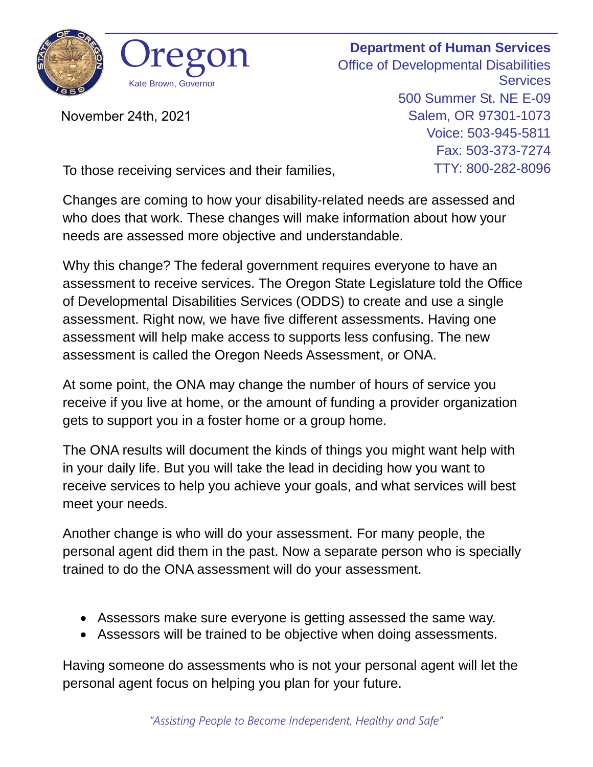

November 24th, 2021

**Department of Human Services** Office of Developmental Disabilities **Services** 500 Summer St. NE E-09 Salem, OR 97301-1073 Voice: 503-945-5811 Fax: 503-373-7274 TTY: 800-282-8096

To those receiving services and their families,

Changes are coming to how your disability-related needs are assessed and who does that work. These changes will make information about how your needs are assessed more objective and understandable.

Why this change? The federal government requires everyone to have an assessment to receive services. The Oregon State Legislature told the Office of Developmental Disabilities Services (ODDS) to create and use a single assessment. Right now, we have five different assessments. Having one assessment will help make access to supports less confusing. The new assessment is called the Oregon Needs Assessment, or ONA.

At some point, the ONA may change the number of hours of service you receive if you live at home, or the amount of funding a provider organization gets to support you in a foster home or a group home.

The ONA results will document the kinds of things you might want help with in your daily life. But you will take the lead in deciding how you want to receive services to help you achieve your goals, and what services will best meet your needs.

Another change is who will do your assessment. For many people, the personal agent did them in the past. Now a separate person who is specially trained to do the ONA assessment will do your assessment.

- Assessors make sure everyone is getting assessed the same way.
- Assessors will be trained to be objective when doing assessments.

Having someone do assessments who is not your personal agent will let the personal agent focus on helping you plan for your future.